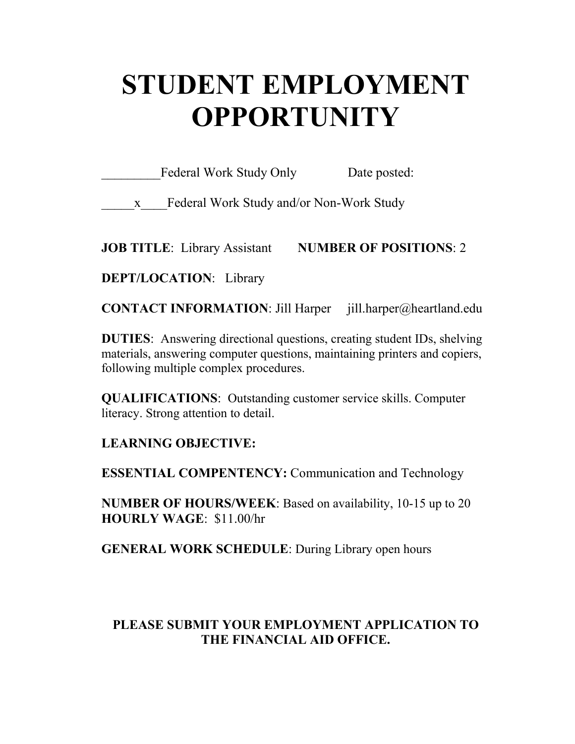# **STUDENT EMPLOYMENT OPPORTUNITY**

Federal Work Study Only Date posted:

\_\_\_\_\_x\_\_\_\_Federal Work Study and/or Non-Work Study

**JOB TITLE**: Library Assistant **NUMBER OF POSITIONS**: 2

**DEPT/LOCATION**: Library

**CONTACT INFORMATION**: Jill Harper jill.harper@heartland.edu

**DUTIES**: Answering directional questions, creating student IDs, shelving materials, answering computer questions, maintaining printers and copiers, following multiple complex procedures.

**QUALIFICATIONS**: Outstanding customer service skills. Computer literacy. Strong attention to detail.

**LEARNING OBJECTIVE:**

**ESSENTIAL COMPENTENCY:** Communication and Technology

**NUMBER OF HOURS/WEEK**: Based on availability, 10-15 up to 20 **HOURLY WAGE**: \$11.00/hr

**GENERAL WORK SCHEDULE**: During Library open hours

## **PLEASE SUBMIT YOUR EMPLOYMENT APPLICATION TO THE FINANCIAL AID OFFICE.**